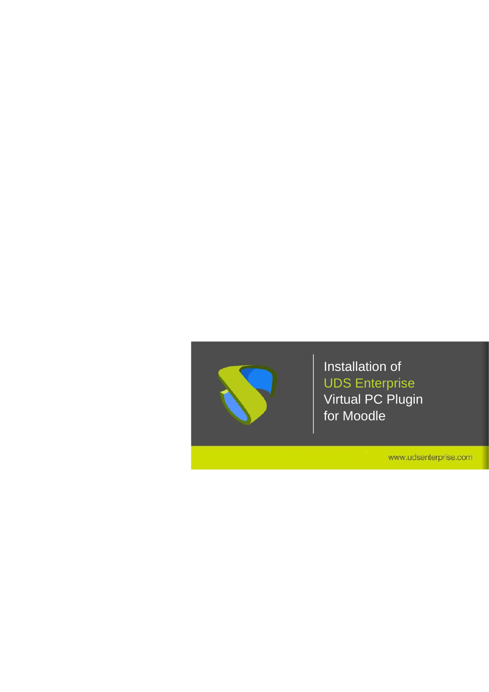

www.udsenterprise.com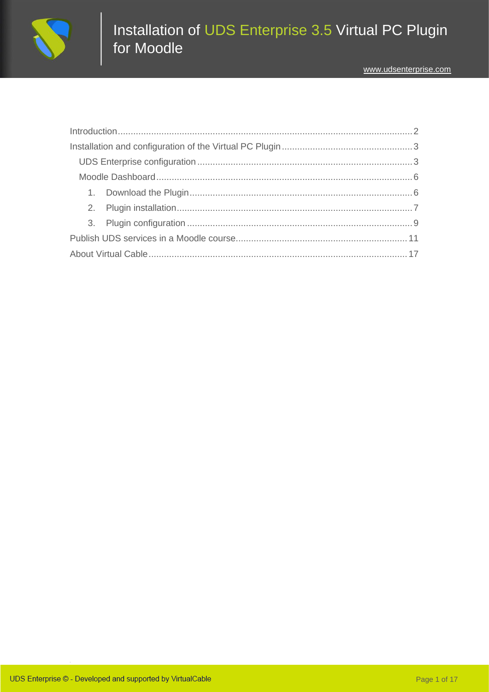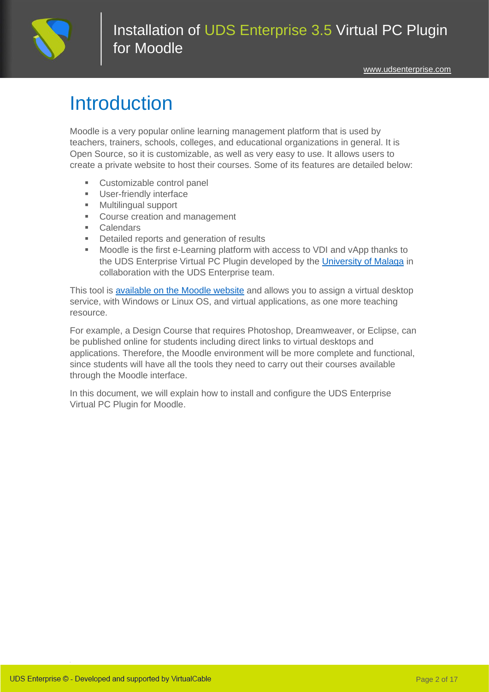

## <span id="page-2-0"></span>**Introduction**

Moodle is a very popular online learning management platform that is used by teachers, trainers, schools, colleges, and educational organizations in general. It is Open Source, so it is customizable, as well as very easy to use. It allows users to create a private website to host their courses. Some of its features are detailed below:

- Customizable control panel
- **■** User-friendly interface
- Multilingual support
- Course creation and management
- Calendars
- **•** Detailed reports and generation of results
- Moodle is the first e-Learning platform with access to VDI and vApp thanks to the UDS Enterprise Virtual PC Plugin developed by the [University of Malaga](https://www.uma.es/#gsc.tab=0) in collaboration with the UDS Enterprise team.

This tool is [available on the Moodle website](https://moodle.org/plugins/mod_virtualpc) and allows you to assign a virtual desktop service, with Windows or Linux OS, and virtual applications, as one more teaching resource.

For example, a Design Course that requires Photoshop, Dreamweaver, or Eclipse, can be published online for students including direct links to virtual desktops and applications. Therefore, the Moodle environment will be more complete and functional, since students will have all the tools they need to carry out their courses available through the Moodle interface.

In this document, we will explain how to install and configure the UDS Enterprise Virtual PC Plugin for Moodle.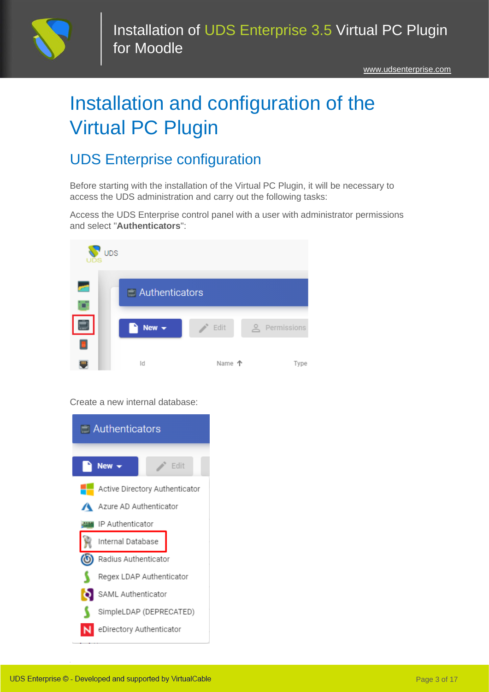

[www.udsenterprise.com](http://www.udsenterprise.com/)

# <span id="page-3-0"></span>Installation and configuration of the Virtual PC Plugin

#### <span id="page-3-1"></span>UDS Enterprise configuration

Before starting with the installation of the Virtual PC Plugin, it will be necessary to access the UDS administration and carry out the following tasks:

Access the UDS Enterprise control panel with a user with administrator permissions and select "**Authenticators**":

| <b>UDS</b><br>UDS |                          |        |                       |
|-------------------|--------------------------|--------|-----------------------|
| ď,                | $\Box$ Authenticators    |        |                       |
|                   | New $\blacktriangledown$ | Edit   | $\geq$<br>Permissions |
|                   | Id                       | Name 个 | Type                  |

Create a new internal database:

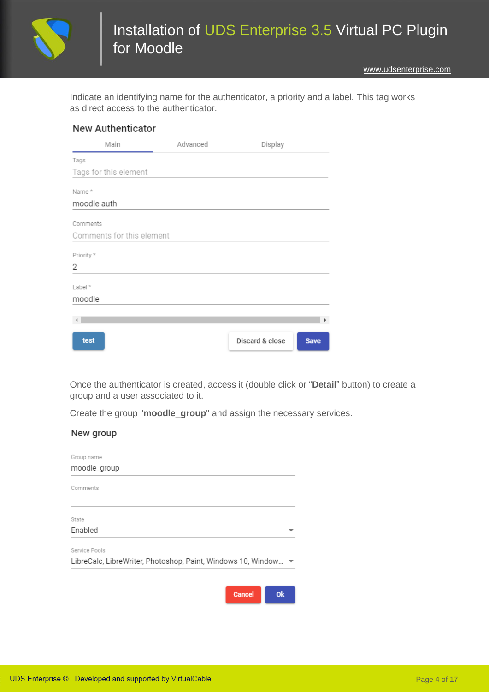

[www.udsenterprise.com](http://www.udsenterprise.com/)

Indicate an identifying name for the authenticator, a priority and a label. This tag works as direct access to the authenticator.

| Advanced | Display         |             |
|----------|-----------------|-------------|
|          |                 |             |
|          |                 |             |
|          |                 |             |
|          |                 |             |
|          |                 |             |
|          |                 |             |
|          |                 |             |
|          |                 |             |
|          |                 |             |
|          |                 |             |
|          |                 |             |
|          |                 |             |
|          |                 |             |
|          | Discard & close | <b>Save</b> |
|          |                 |             |

Once the authenticator is created, access it (double click or "**Detail**" button) to create a group and a user associated to it.

Create the group "**moodle\_group**" and assign the necessary services.

| Group name                                                          |  |
|---------------------------------------------------------------------|--|
| moodle_group                                                        |  |
| Comments                                                            |  |
| State                                                               |  |
| Enabled                                                             |  |
| Service Pools                                                       |  |
| LibreCalc, LibreWriter, Photoshop, Paint, Windows 10, Window $\sim$ |  |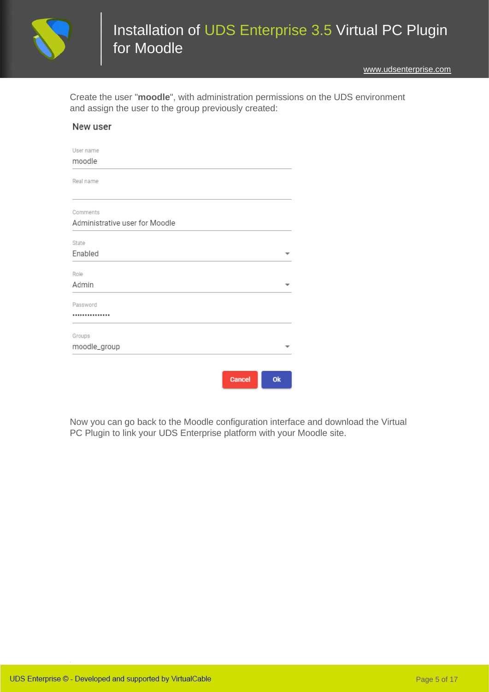

[www.udsenterprise.com](http://www.udsenterprise.com/)

Create the user "**moodle**", with administration permissions on the UDS environment and assign the user to the group previously created:

| New user                       |               |    |
|--------------------------------|---------------|----|
| User name                      |               |    |
| moodle                         |               |    |
| Real name                      |               |    |
| Comments                       |               |    |
| Administrative user for Moodle |               |    |
| State                          |               |    |
| Enabled                        |               |    |
| Role                           |               |    |
| Admin                          |               |    |
| Password                       |               |    |
|                                |               |    |
| Groups                         |               |    |
| moodle_group                   |               |    |
|                                |               |    |
|                                | <b>Cancel</b> | Ok |

Now you can go back to the Moodle configuration interface and download the Virtual PC Plugin to link your UDS Enterprise platform with your Moodle site.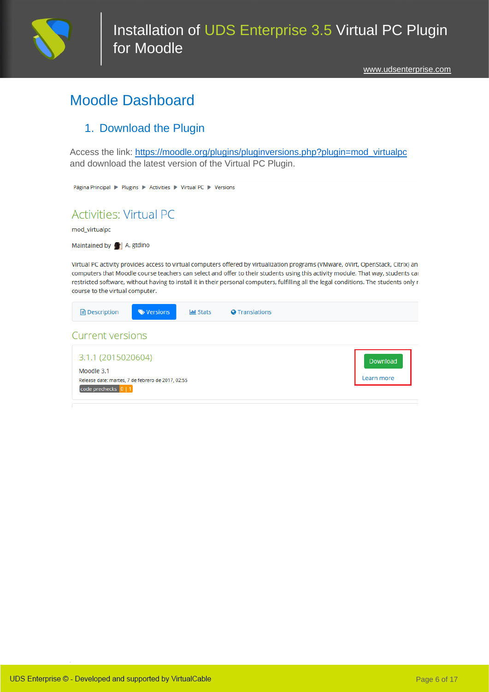

[www.udsenterprise.com](http://www.udsenterprise.com/)

#### <span id="page-6-0"></span>Moodle Dashboard

#### <span id="page-6-1"></span>1. Download the Plugin

Access the link: [https://moodle.org/plugins/pluginversions.php?plugin=mod\\_virtualpc](https://moodle.org/plugins/pluginversions.php?plugin=mod_virtualpc) and download the latest version of the Virtual PC Plugin.

Página Principal ▶ Plugins ▶ Activities ▶ Virtual PC ▶ Versions

#### **Activities: Virtual PC**

mod\_virtualpc

Maintained by **R** A. gtdino

Virtual PC activity provides access to virtual computers offered by virtualization programs (VMware, oVirt, OpenStack, Citrix) an computers that Moodle course teachers can select and offer to their students using this activity module. That way, students car restricted software, without having to install it in their personal computers, fulfilling all the legal conditions. The students only r course to the virtual computer.

| <b>■</b> Description                                                                    | Versions | <b>III</b> Stats | <b>O</b> Translations |            |
|-----------------------------------------------------------------------------------------|----------|------------------|-----------------------|------------|
| <b>Current versions</b>                                                                 |          |                  |                       |            |
| 3.1.1 (2015020604)                                                                      |          |                  |                       | Download   |
| Moodle 3.1<br>Release date: martes, 7 de febrero de 2017, 02:55<br>code prechecks 0   1 |          |                  |                       | Learn more |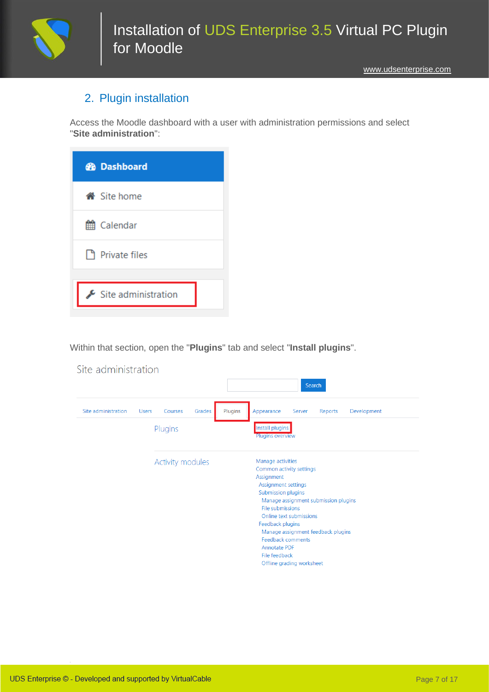

[www.udsenterprise.com](http://www.udsenterprise.com/)

#### <span id="page-7-0"></span>2. Plugin installation

Access the Moodle dashboard with a user with administration permissions and select "**Site administration**":

| <b>B</b> Dashboard       |
|--------------------------|
| K <sup>4</sup> Site home |
| Calendar<br>m            |
| Private files            |
|                          |
| Site administration      |

Within that section, open the "**Plugins**" tab and select "**Install plugins**".

Site administration

|                     |                         | Search                                                                                                                                                                                                                                                                                                                 |  |  |
|---------------------|-------------------------|------------------------------------------------------------------------------------------------------------------------------------------------------------------------------------------------------------------------------------------------------------------------------------------------------------------------|--|--|
| Site administration | <b>Users</b><br>Courses | Plugins<br>Grades<br>Server<br>Reports<br>Development<br>Appearance                                                                                                                                                                                                                                                    |  |  |
|                     | Plugins                 | Install plugins<br>Plugins overview                                                                                                                                                                                                                                                                                    |  |  |
|                     | <b>Activity modules</b> | Manage activities<br>Common activity settings<br>Assignment<br>Assignment settings<br><b>Submission plugins</b><br>Manage assignment submission plugins<br>File submissions<br>Online text submissions<br>Feedback plugins<br>Manage assignment feedback plugins<br>Feedback comments<br>Annotate PDF<br>File feedback |  |  |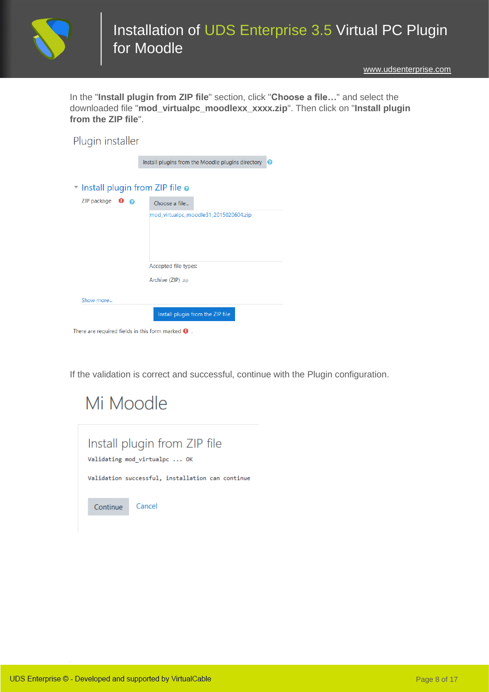

[www.udsenterprise.com](http://www.udsenterprise.com/)

In the "**Install plugin from ZIP file**" section, click "**Choose a file…**" and select the downloaded file "**mod\_virtualpc\_moodlexx\_xxxx.zip**". Then click on "**Install plugin from the ZIP file**".

| Plugin installer                                                  |                                                         |
|-------------------------------------------------------------------|---------------------------------------------------------|
|                                                                   | Install plugins from the Moodle plugins directory<br>10 |
| Install plugin from ZIP file o                                    |                                                         |
| ZIP package<br>$\mathbf{0}$ Q                                     | Choose a file                                           |
|                                                                   | mod_virtualpc_moodle31_2015020604.zip                   |
|                                                                   | Accepted file types:                                    |
|                                                                   | Archive (ZIP) .zip                                      |
| Show more                                                         |                                                         |
|                                                                   | Install plugin from the ZIP file                        |
| There are required fields in this form marked $\mathbf{\Theta}$ . |                                                         |

If the validation is correct and successful, continue with the Plugin configuration.

| Mi Moodle                                                                                                        |
|------------------------------------------------------------------------------------------------------------------|
| Install plugin from ZIP file<br>Validating mod virtualpc  OK<br>Validation successful, installation can continue |
| Cancel<br>Continue                                                                                               |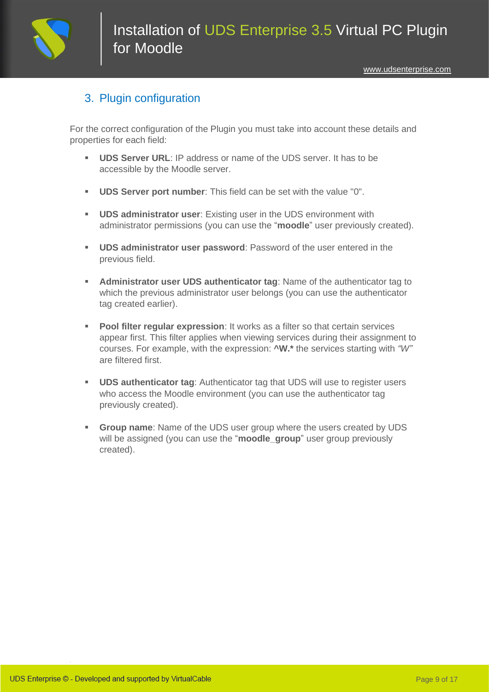

#### <span id="page-9-0"></span>3. Plugin configuration

For the correct configuration of the Plugin you must take into account these details and properties for each field:

- **UDS Server URL**: IP address or name of the UDS server. It has to be accessible by the Moodle server.
- **UDS Server port number**: This field can be set with the value "0".
- **UDS administrator user:** Existing user in the UDS environment with administrator permissions (you can use the "**moodle**" user previously created).
- **UDS administrator user password**: Password of the user entered in the previous field.
- **Administrator user UDS authenticator tag: Name of the authenticator tag to** which the previous administrator user belongs (you can use the authenticator tag created earlier).
- **Pool filter regular expression**: It works as a filter so that certain services appear first. This filter applies when viewing services during their assignment to courses. For example, with the expression: **^W.\*** the services starting with *"W"* are filtered first.
- **UDS authenticator tag**: Authenticator tag that UDS will use to register users who access the Moodle environment (you can use the authenticator tag previously created).
- **Group name:** Name of the UDS user group where the users created by UDS will be assigned (you can use the "**moodle\_group**" user group previously created).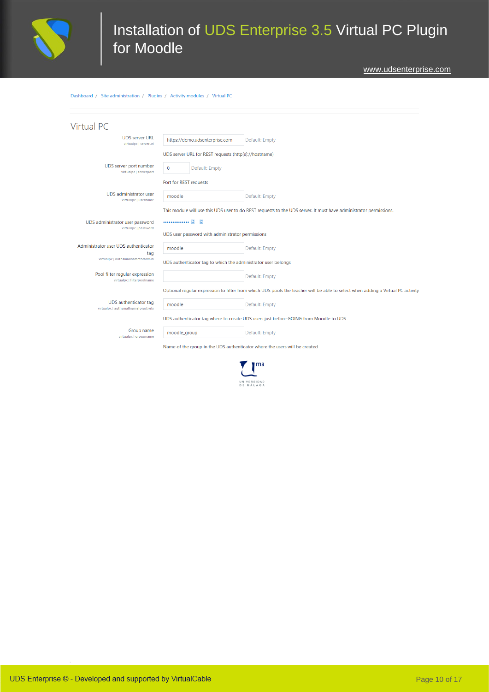

[www.udsenterprise.com](http://www.udsenterprise.com/)

Dashboard / Site administration / Plugins / Activity modules / Virtual PC

| Virtual PC                                                           |                                                                            |                                                                                                                                 |  |
|----------------------------------------------------------------------|----------------------------------------------------------------------------|---------------------------------------------------------------------------------------------------------------------------------|--|
| <b>UDS server URL</b><br>virtualpc   serverurl                       | https://demo.udsenterprise.com                                             | <b>Default: Empty</b>                                                                                                           |  |
|                                                                      | UDS server URL for REST requests (http[s]://hostname)                      |                                                                                                                                 |  |
| UDS server port number<br>virtualpc   serverport                     | $\mathbf{0}$<br>Default: Empty                                             |                                                                                                                                 |  |
|                                                                      | Port for REST requests                                                     |                                                                                                                                 |  |
| <b>UDS</b> administrator user<br>virtualpc   username                | moodle                                                                     | <b>Default: Empty</b>                                                                                                           |  |
|                                                                      |                                                                            | This module will use this UDS user to do REST requests to the UDS server. It must have administrator permissions.               |  |
| UDS administrator user password<br>virtualpc   password              | <br>霞                                                                      |                                                                                                                                 |  |
|                                                                      | UDS user password with administrator permissions                           |                                                                                                                                 |  |
| Administrator user UDS authenticator<br>tag                          | moodle                                                                     | Default: Empty                                                                                                                  |  |
| virtualpc   authsmallnameforadmin                                    | UDS authenticator tag to which the administrator user belongs              |                                                                                                                                 |  |
| Pool filter regular expression<br>virtualpc   filterpoolname         |                                                                            | <b>Default: Empty</b>                                                                                                           |  |
|                                                                      |                                                                            | Optional regular expression to filter from which UDS pools the teacher will be able to select when adding a Virtual PC activity |  |
| <b>UDS</b> authenticator tag<br>virtualpc   authsmallnameforactivity | moodle                                                                     | <b>Default: Empty</b>                                                                                                           |  |
|                                                                      |                                                                            | UDS authenticator tag where to create UDS users just before GOING from Moodle to UDS                                            |  |
| Group name<br>virtualpc   groupname                                  | moodle_group                                                               | <b>Default: Empty</b>                                                                                                           |  |
|                                                                      | Name of the group in the UDS authenticator where the users will be created |                                                                                                                                 |  |

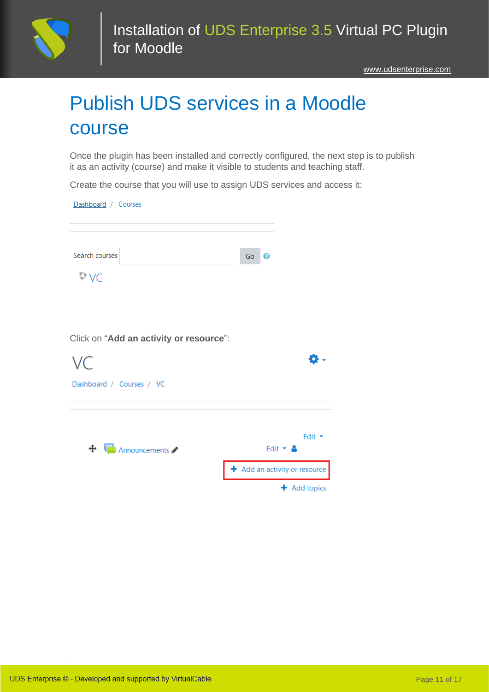

## <span id="page-11-0"></span>Publish UDS services in a Moodle course

Once the plugin has been installed and correctly configured, the next step is to publish it as an activity (course) and make it visible to students and teaching staff.

Create the course that you will use to assign UDS services and access it:

| Dashboard / Courses                     |                               |              |
|-----------------------------------------|-------------------------------|--------------|
|                                         |                               |              |
| Search courses                          | Go<br>0                       |              |
| <b>DAG</b>                              |                               |              |
|                                         |                               |              |
|                                         |                               |              |
| Click on "Add an activity or resource": |                               |              |
| VC                                      |                               |              |
| Dashboard / Courses / VC                |                               |              |
|                                         |                               |              |
|                                         |                               | Edit *       |
| $+$<br>Announcements                    | Edit $\bullet$ &              |              |
|                                         | + Add an activity or resource |              |
|                                         |                               | + Add topics |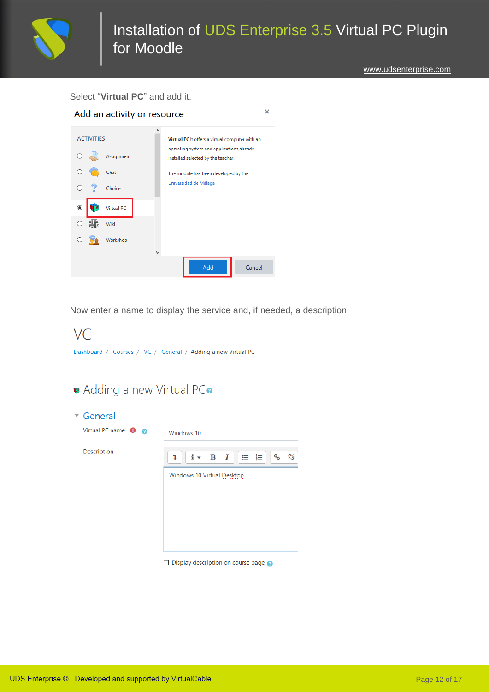

[www.udsenterprise.com](http://www.udsenterprise.com/)

Select "**Virtual PC**" and add it.



Now enter a name to display the service and, if needed, a description.



Adding a new Virtual PCo

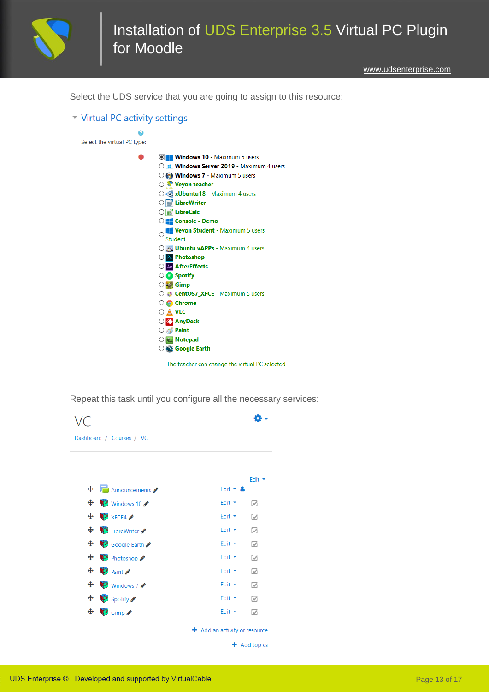

[www.udsenterprise.com](http://www.udsenterprise.com/)

Select the UDS service that you are going to assign to this resource:



 $\Box$  The teacher can change the virtual PC selected

Repeat this task until you configure all the necessary services:

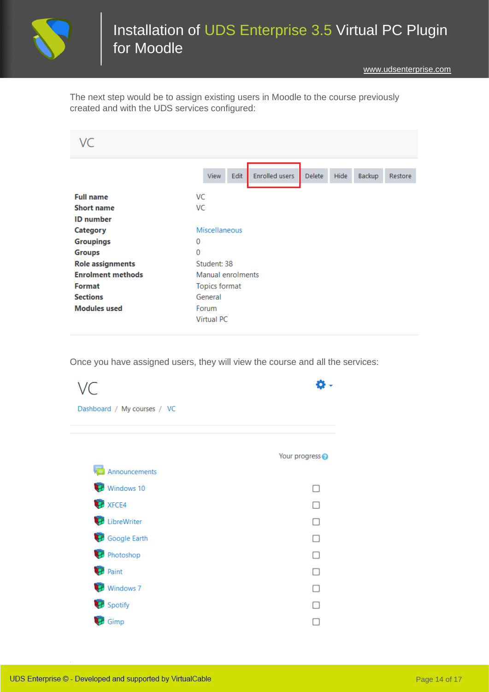

[www.udsenterprise.com](http://www.udsenterprise.com/)

The next step would be to assign existing users in Moodle to the course previously created and with the UDS services configured:

| VC                       |                      |      |                       |               |      |        |         |
|--------------------------|----------------------|------|-----------------------|---------------|------|--------|---------|
|                          |                      |      |                       |               |      |        |         |
|                          | View                 | Edit | <b>Enrolled</b> users | <b>Delete</b> | Hide | Backup | Restore |
| <b>Full name</b>         | VC                   |      |                       |               |      |        |         |
| <b>Short name</b>        | VC                   |      |                       |               |      |        |         |
| <b>ID</b> number         |                      |      |                       |               |      |        |         |
| Category                 | Miscellaneous        |      |                       |               |      |        |         |
| <b>Groupings</b>         | 0                    |      |                       |               |      |        |         |
| <b>Groups</b>            | 0                    |      |                       |               |      |        |         |
| <b>Role assignments</b>  | Student: 38          |      |                       |               |      |        |         |
| <b>Enrolment methods</b> | Manual enrolments    |      |                       |               |      |        |         |
| Format                   | <b>Topics format</b> |      |                       |               |      |        |         |
| <b>Sections</b>          | General              |      |                       |               |      |        |         |
| <b>Modules used</b>      | Forum                |      |                       |               |      |        |         |
|                          | <b>Virtual PC</b>    |      |                       |               |      |        |         |

Once you have assigned users, they will view the course and all the services:

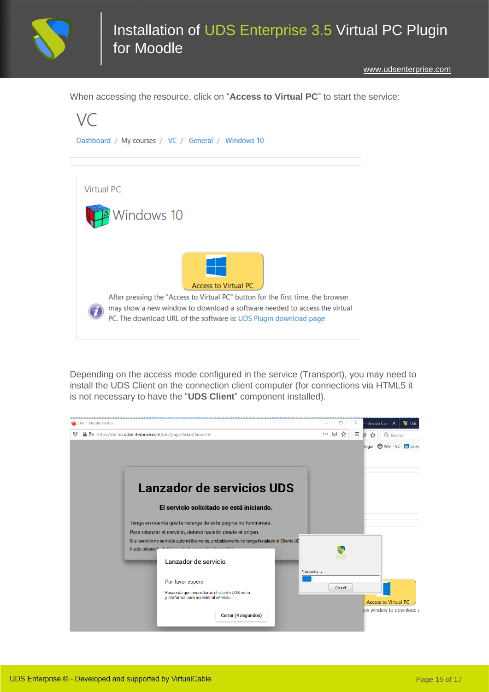

[www.udsenterprise.com](http://www.udsenterprise.com/)

When accessing the resource, click on "**Access to Virtual PC**" to start the service:

 $V\subset$ Dashboard / My courses / VC / General / Windows 10 **Virtual PC** Windows 10 **Access to Virtual PC** After pressing the "Access to Virtual PC" button for the first time, the browser may show a new window to download a software needed to access the virtual PC. The download URL of the software is: UDS Plugin download page

Depending on the access mode configured in the service (Transport), you may need to install the UDS Client on the connection client computer (for connections via HTML5 it is not necessary to have the "**UDS Client**" component installed).

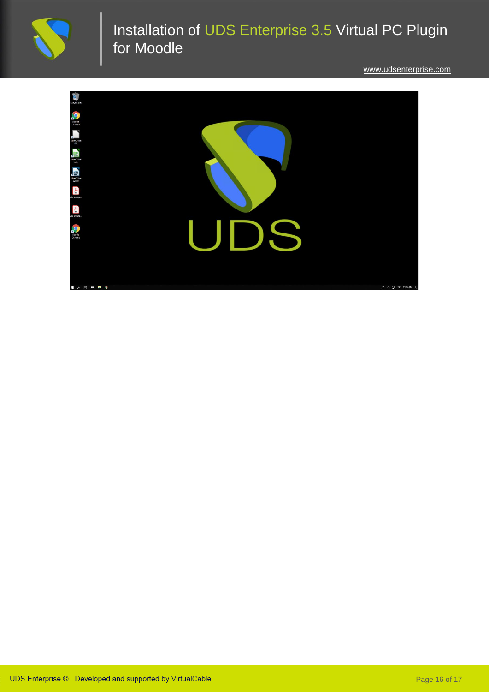

[www.udsenterprise.com](http://www.udsenterprise.com/)